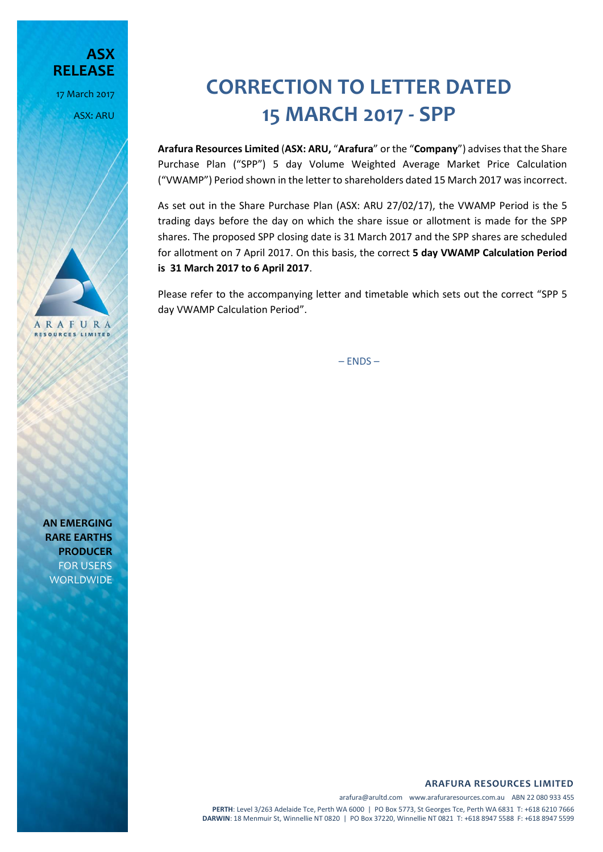**ASX RELEASE** 17 March 2017 ASX: ARU

## **CORRECTION TO LETTER DATED 15 MARCH 2017 - SPP**

**Arafura Resources Limited** (**ASX: ARU,** "**Arafura**" or the "**Company**") advises that the Share Purchase Plan ("SPP") 5 day Volume Weighted Average Market Price Calculation ("VWAMP") Period shown in the letter to shareholders dated 15 March 2017 was incorrect.

As set out in the Share Purchase Plan (ASX: ARU 27/02/17), the VWAMP Period is the 5 trading days before the day on which the share issue or allotment is made for the SPP shares. The proposed SPP closing date is 31 March 2017 and the SPP shares are scheduled for allotment on 7 April 2017. On this basis, the correct **5 day VWAMP Calculation Period is 31 March 2017 to 6 April 2017**.

Please refer to the accompanying letter and timetable which sets out the correct "SPP 5 day VWAMP Calculation Period".

 $-$  ENDS  $-$ 

**ARAFURA RESOURCES LIMITED**

arafura@arultd.com www.arafuraresources.com.au ABN 22 080 933 455 **PERTH**: Level 3/263 Adelaide Tce, Perth WA 6000 | PO Box 5773, St Georges Tce, Perth WA 6831 T: +618 6210 7666 **DARWIN**: 18 Menmuir St, Winnellie NT 0820 | PO Box 37220, Winnellie NT 0821 T: +618 8947 5588 F: +618 8947 5599

**AN EMERGING RARE EARTHS PRODUCER** FOR USERS **WORLDWIDE** 

ARAFURA **RESOURCES LIMITED**